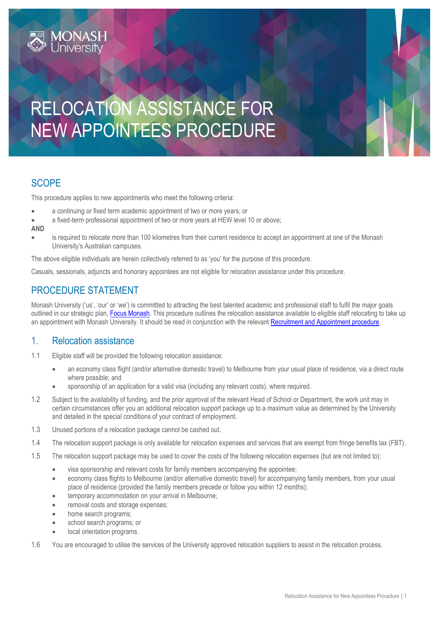# RELOCATION ASSISTANCE FOR NEW APPOINTEES PROCEDURE

# **SCOPE**

This procedure applies to new appointments who meet the following criteria:

- a continuing or fixed term academic appointment of two or more years; or
- a fixed-term professional appointment of two or more years at HEW level 10 or above;

#### **AND**

 is required to relocate more than 100 kilometres from their current residence to accept an appointment at one of the Monash University's Australian campuses.

The above eligible individuals are herein collectively referred to as 'you' for the purpose of this procedure.

Casuals, sessionals, adjuncts and honorary appointees are not eligible for relocation assistance under this procedure.

## PROCEDURE STATEMENT

*IONASH*<br>Jniversity

Monash University ('us', 'our' or 'we') is committed to attracting the best talented academic and professional staff to fulfil the major goals outlined in our strategic plan[, Focus Monash.](http://www.monash.edu/__data/assets/pdf_file/0004/169744/strategic-plan-print-version.pdf?utm_source=webpage&utm_medium=button&utm_campaign=strategicplan) This procedure outlines the relocation assistance available to eligible staff relocating to take up an appointment with Monash University. It should be read in conjunction with the relevant [Recruitment and Appointment procedure.](https://publicpolicydms.monash.edu/Monash/documents/1935714)

#### 1. Relocation assistance

- 1.1 Eligible staff will be provided the following relocation assistance:
	- an economy class flight (and/or alternative domestic travel) to Melbourne from your usual place of residence, via a direct route where possible; and
	- sponsorship of an application for a valid visa (including any relevant costs), where required.
- 1.2 Subject to the availability of funding, and the prior approval of the relevant Head of School or Department, the work unit may in certain circumstances offer you an additional relocation support package up to a maximum value as determined by the University and detailed in the special conditions of your contract of employment.
- 1.3 Unused portions of a relocation package cannot be cashed out.
- 1.4 The relocation support package is only available for relocation expenses and services that are exempt from fringe benefits tax (FBT).
- 1.5 The relocation support package may be used to cover the costs of the following relocation expenses (but are not limited to):
	- visa sponsorship and relevant costs for family members accompanying the appointee;
	- economy class flights to Melbourne (and/or alternative domestic travel) for accompanying family members, from your usual place of residence (provided the family members precede or follow you within 12 months);
	- temporary accommodation on your arrival in Melbourne;
	- removal costs and storage expenses;
	- home search programs;
	- school search programs; or
	- local orientation programs.
- 1.6 You are encouraged to utilise the services of the University approved relocation suppliers to assist in the relocation process.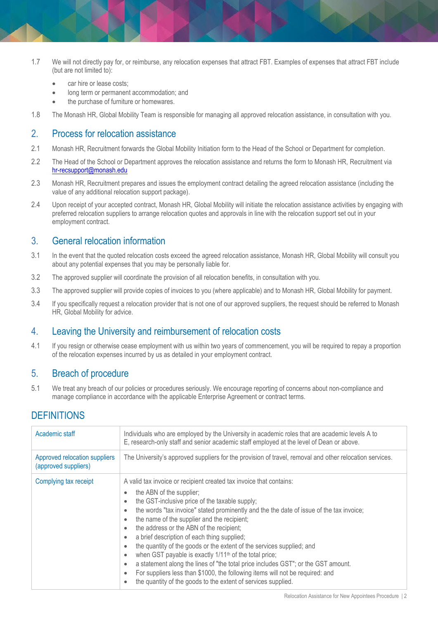- 1.7 We will not directly pay for, or reimburse, any relocation expenses that attract FBT. Examples of expenses that attract FBT include (but are not limited to):
	- car hire or lease costs;
	- long term or permanent accommodation; and
	- the purchase of furniture or homewares.
- 1.8 The Monash HR, Global Mobility Team is responsible for managing all approved relocation assistance, in consultation with you.

#### 2. Process for relocation assistance

- 2.1 Monash HR, Recruitment forwards the Global Mobility Initiation form to the Head of the School or Department for completion.
- 2.2 The Head of the School or Department approves the relocation assistance and returns the form to Monash HR, Recruitment via [hr-recsupport@monash.edu](mailto:hr-recsupport@monash.edu)
- 2.3 Monash HR, Recruitment prepares and issues the employment contract detailing the agreed relocation assistance (including the value of any additional relocation support package).
- 2.4 Upon receipt of your accepted contract, Monash HR, Global Mobility will initiate the relocation assistance activities by engaging with preferred relocation suppliers to arrange relocation quotes and approvals in line with the relocation support set out in your employment contract.

### 3. General relocation information

- 3.1 In the event that the quoted relocation costs exceed the agreed relocation assistance, Monash HR, Global Mobility will consult you about any potential expenses that you may be personally liable for.
- 3.2 The approved supplier will coordinate the provision of all relocation benefits, in consultation with you.
- 3.3 The approved supplier will provide copies of invoices to you (where applicable) and to Monash HR, Global Mobility for payment.
- 3.4 If you specifically request a relocation provider that is not one of our approved suppliers, the request should be referred to Monash HR, Global Mobility for advice.

#### 4. Leaving the University and reimbursement of relocation costs

4.1 If you resign or otherwise cease employment with us within two years of commencement, you will be required to repay a proportion of the relocation expenses incurred by us as detailed in your employment contract.

#### 5. Breach of procedure

5.1 We treat any breach of our policies or procedures seriously. We encourage reporting of concerns about non-compliance and manage compliance in accordance with the applicable Enterprise Agreement or contract terms.

# **DEFINITIONS**

| Academic staff                                        | Individuals who are employed by the University in academic roles that are academic levels A to<br>E, research-only staff and senior academic staff employed at the level of Dean or above.                                                                                                                                                                                                                                                                                                                                                                                                                                               |
|-------------------------------------------------------|------------------------------------------------------------------------------------------------------------------------------------------------------------------------------------------------------------------------------------------------------------------------------------------------------------------------------------------------------------------------------------------------------------------------------------------------------------------------------------------------------------------------------------------------------------------------------------------------------------------------------------------|
| Approved relocation suppliers<br>(approved suppliers) | The University's approved suppliers for the provision of travel, removal and other relocation services.                                                                                                                                                                                                                                                                                                                                                                                                                                                                                                                                  |
| Complying tax receipt                                 | A valid tax invoice or recipient created tax invoice that contains:<br>the ABN of the supplier;<br>$\bullet$<br>the GST-inclusive price of the taxable supply;<br>the words "tax invoice" stated prominently and the the date of issue of the tax invoice;<br>the name of the supplier and the recipient;<br>the address or the ABN of the recipient;<br>a brief description of each thing supplied;<br>the quantity of the goods or the extent of the services supplied; and<br>when GST payable is exactly 1/11 <sup>th</sup> of the total price;<br>a statement along the lines of "the total price includes GST"; or the GST amount. |
|                                                       | For suppliers less than \$1000, the following items will not be required: and<br>the quantity of the goods to the extent of services supplied.                                                                                                                                                                                                                                                                                                                                                                                                                                                                                           |